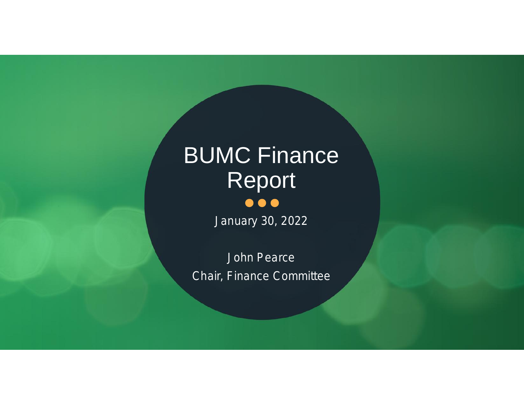# BUMC Finance Report

*January 30, 2022*

*John Pearce Chair, Finance Committee*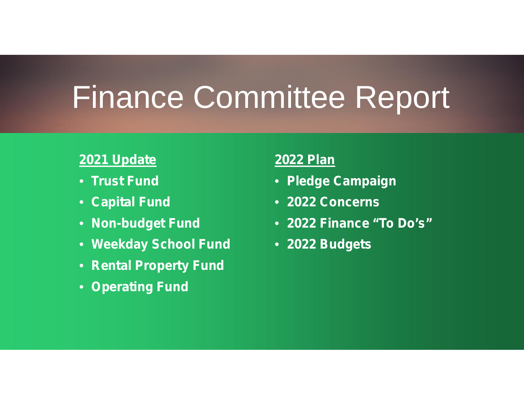## Finance Committee Report

#### **2021 Update**

- **Trust Fund**
- **Capital Fund**
- **Non-budget Fund**
- **Weekday School Fund**
- **Rental Property Fund**
- **Operating Fund**

#### **2022 Plan**

- **Pledge Campaign**
- **2022 Concerns**
- **2022 Finance "To Do's"**
- **2022 Budgets**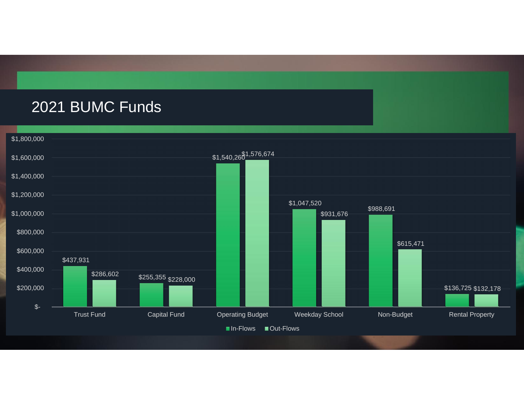#### 2021 BUMC Funds

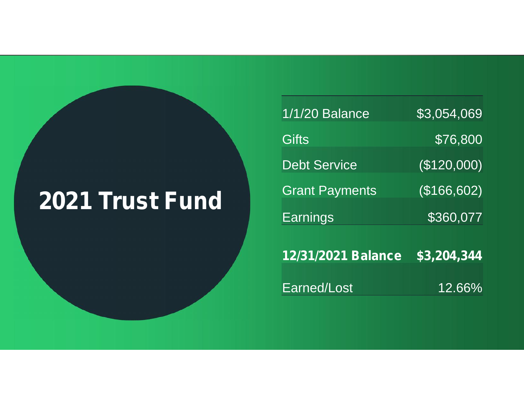### **2021 Trust Fund**

| <b>1/1/20 Balance</b>     | \$3,054,069 |  |
|---------------------------|-------------|--|
| <b>Gifts</b>              | \$76,800    |  |
| <b>Debt Service</b>       | (\$120,000) |  |
| <b>Grant Payments</b>     | (\$166,602) |  |
| <b>Earnings</b>           | \$360,077   |  |
| <b>12/31/2021 Balance</b> | \$3,204,344 |  |
|                           |             |  |
| Earned/Lost               | 12.66%      |  |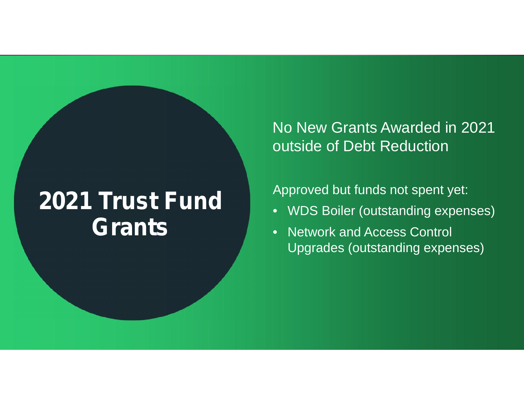### **2021 Trust Fund Grants**

No New Grants Awarded in 2021 outside of Debt Reduction

Approved but funds not spent yet:

- WDS Boiler (outstanding expenses)
- Network and Access Control Upgrades (outstanding expenses)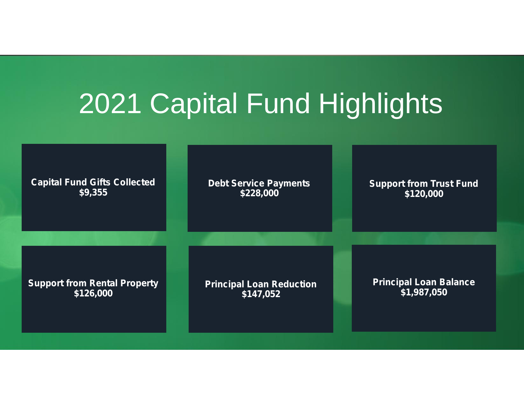### 2021 Capital Fund Highlights

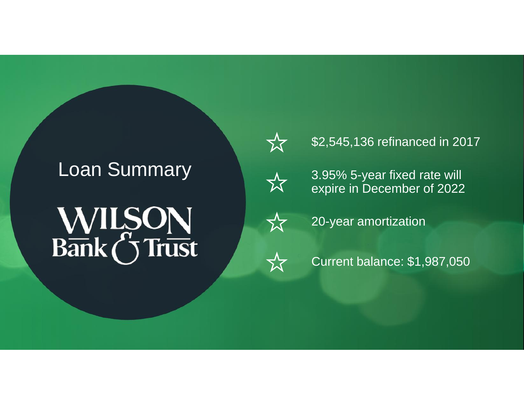# **WILSON**<br>Bank (5 Trust



#### \$2,545,136 refinanced in 2017



Loan Summary<br>
2.95% 5-year fixed rate will<br>
2022 expire in December of 2022



20-year amortization



Current balance: \$1,987,050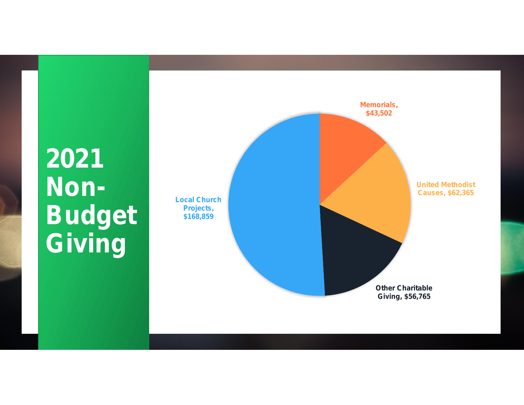### **2021 Non-Budget** s168 **Giving**

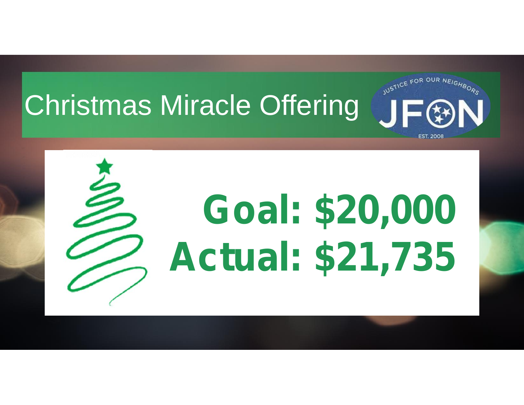# Christmas Miracle Offering TEEAN



# **Goal: \$20,000 Actual: \$21,735**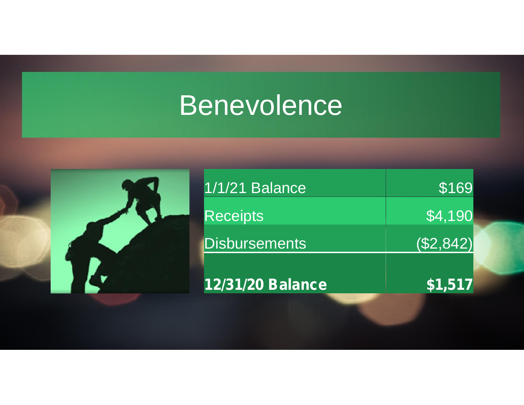### Benevolence

| ◤. |
|----|

| 12/31/20 Balance     | \$1,517      |  |
|----------------------|--------------|--|
| <b>Disbursements</b> | $($ \$2,842) |  |
| <b>Receipts</b>      | \$4,190      |  |
| 1/1/21 Balance       | \$169        |  |
|                      |              |  |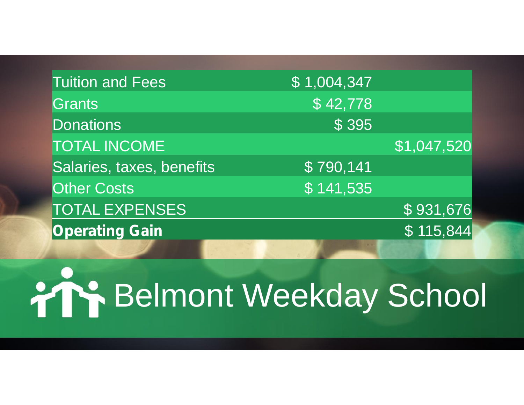| <b>Tuition and Fees</b>   | \$1,004,347             |                   |
|---------------------------|-------------------------|-------------------|
| Grants                    | \$42,778                |                   |
| <b>Donations</b>          | \$395                   |                   |
| <b>TOTAL INCOME</b>       |                         | \$1,047,520       |
| Salaries, taxes, benefits | \$790,141               |                   |
| <b>Other Costs</b>        | $\overline{\$}$ 141,535 |                   |
| <b>TOTAL EXPENSES</b>     |                         | \$931,676         |
| <b>Operating Gain</b>     |                         | $\sqrt{$115,844}$ |
|                           |                         |                   |

# **PIP Belmont Weekday School**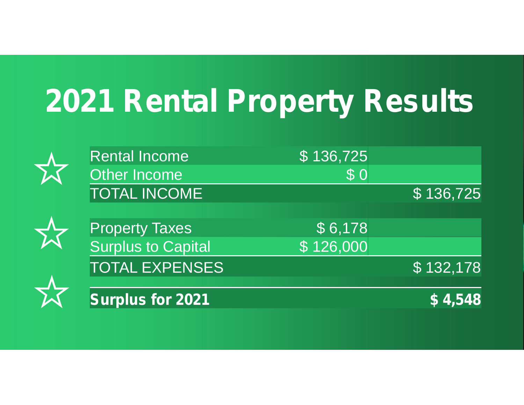# **2021 Rental Property Results**

| <b>Rental Income</b>      | \$136,725 |                 |
|---------------------------|-----------|-----------------|
| Other Income              | \$0       |                 |
| <b>TOTAL INCOME</b>       |           | \$136,725       |
| <b>Property Taxes</b>     | \$6,178   |                 |
| <b>Surplus to Capital</b> | \$126,000 |                 |
| <b>TOTAL EXPENSES</b>     |           | \$132,178       |
| <b>Surplus for 2021</b>   |           | $\sqrt{54,548}$ |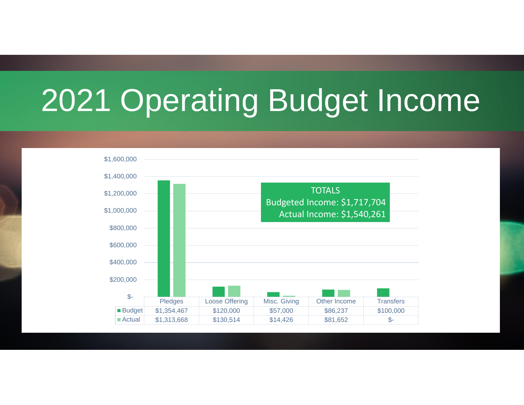## 2021 Operating Budget Income

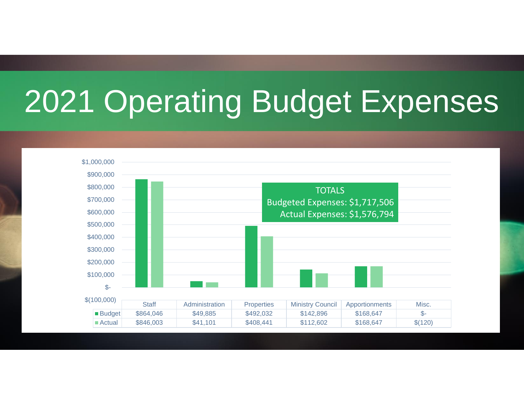# 2021 Operating Budget Expenses

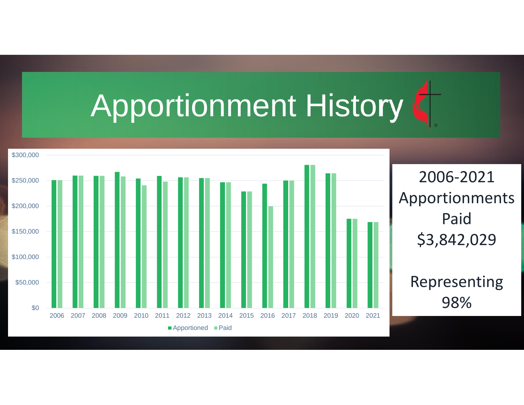# Apportionment History

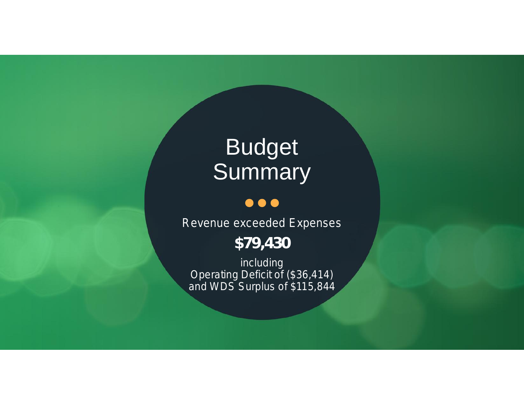### **Budget** Summary No.

#### $\bullet\bullet\bullet$

*Revenue exceeded Expenses*

*\$79,430*

*including Operating Deficit of (\$36,414) and WDS Surplus of \$115,844*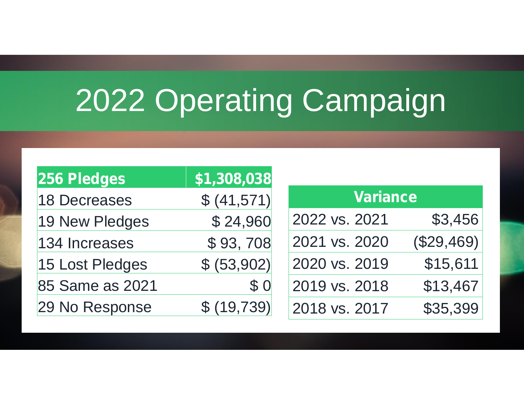# 2022 Operating Campaign

| 256 Pledges     | \$1,308,038 |                 |            |
|-----------------|-------------|-----------------|------------|
| 18 Decreases    | \$ (41,571) | <b>Variance</b> |            |
| 19 New Pledges  | \$24,960    | 2022 vs. 2021   | \$3,456    |
| 134 Increases   | \$93,708    | 2021 vs. 2020   | (\$29,469) |
| 15 Lost Pledges | \$ (53,902) | 2020 vs. 2019   | \$15,611   |
| 85 Same as 2021 | \$0         | 2019 vs. 2018   | \$13,467   |
| 29 No Response  | \$ (19,739) | 2018 vs. 2017   | \$35,399   |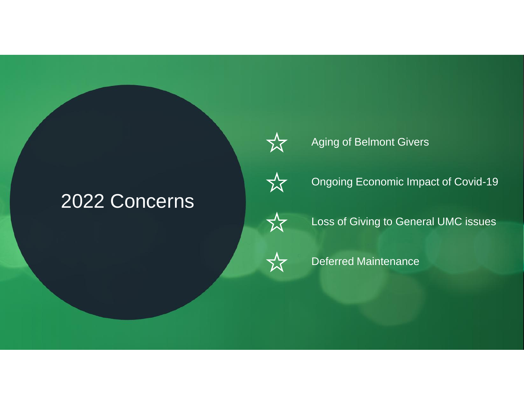#### 2022 Concerns



#### Aging of Belmont Givers



Ongoing Economic Impact of Covid-19



Loss of Giving to General UMC issues



Deferred Maintenance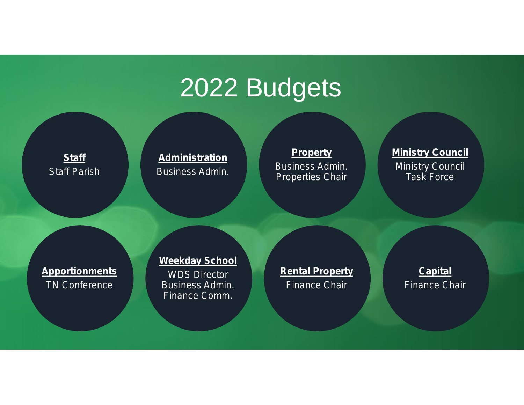### 2022 Budgets

**Staff** *Staff Parish*

**Administration** *Business Admin.*

#### **Property**

*Business Admin. Properties Chair*

#### **Ministry Council**

*Ministry Council Task Force*

**Apportionments** *TN Conference*

#### **Weekday School**

*WDS Director Business Admin. Finance Comm.*

**Rental Property** *Finance Chair*

**Capital** *Finance Chair*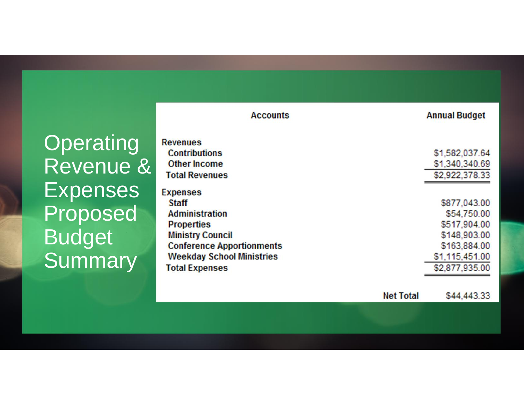**Operating** Revenue & Expenses Proposed Budget **Summary** 

| <b>Accounts</b>                                                |                  | <b>Annual Budget</b>                        |
|----------------------------------------------------------------|------------------|---------------------------------------------|
| <b>Revenues</b><br><b>Contributions</b><br><b>Other Income</b> |                  | \$1,582,037.64<br>\$1,340,340.69            |
| <b>Total Revenues</b><br><b>Expenses</b>                       |                  | \$2,922,378.33                              |
| <b>Staff</b><br><b>Administration</b><br><b>Properties</b>     |                  | \$877,043.00<br>\$54,750.00<br>\$517,904.00 |
| <b>Ministry Council</b><br><b>Conference Apportionments</b>    |                  | \$148,903.00<br>\$163,884.00                |
| <b>Weekday School Ministries</b><br><b>Total Expenses</b>      |                  | \$1,115,451.00<br>\$2,877,935.00            |
|                                                                | <b>Net Total</b> | \$44,443.33                                 |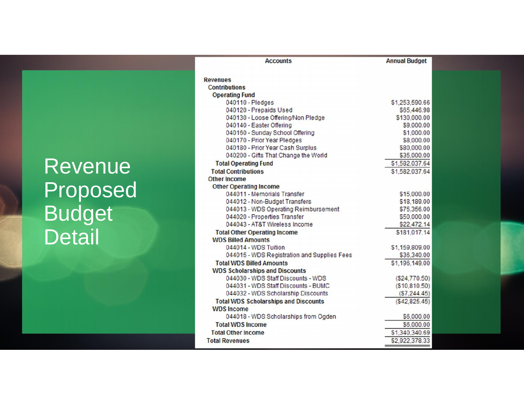### **Revenue** Proposed **Outle Budget Detail**

| <b>Accounts</b>                                                             | <b>Annual Budget</b> |  |
|-----------------------------------------------------------------------------|----------------------|--|
| Revenues                                                                    |                      |  |
| <b>Contributions</b>                                                        |                      |  |
| <b>Operating Fund</b>                                                       |                      |  |
| 040110 - Pledges                                                            | \$1,253,590.66       |  |
| 040120 - Prepaids Used                                                      | \$65,446.98          |  |
| 040130 - Loose Offering/Non Pledge                                          | \$130,000.00         |  |
| 040140 - Easter Offering                                                    | \$9,000.00           |  |
| 040160 - Sunday School Offering                                             | \$1,000.00           |  |
| 040170 - Prior Year Pledges                                                 | \$8,000.00           |  |
| 040180 - Prior Year Cash Surplus                                            | \$80,000.00          |  |
| 040200 - Gifts That Change the World                                        | \$35,000.00          |  |
| <b>Total Operating Fund</b>                                                 | \$1,582,037.64       |  |
| <b>Total Contributions</b>                                                  | \$1,582,037.64       |  |
| <b>Other Income</b>                                                         |                      |  |
| <b>Other Operating Income</b>                                               |                      |  |
| 044011 - Memorials Transfer                                                 | \$15,000.00          |  |
| 044012 - Non-Budget Transfers                                               | \$18,189.00          |  |
| 044013 - WDS Operating Reimbursement                                        | \$75,356.00          |  |
| 044020 - Properties Transfer                                                | \$50,000.00          |  |
| 044043 - AT&T Wireless Income                                               | \$22,472.14          |  |
| <b>Total Other Operating Income</b>                                         | \$181,017.14         |  |
| <b>WDS Billed Amounts</b>                                                   |                      |  |
| 044014 - WDS Tuition                                                        | \$1,159,809.00       |  |
| 044015 - WDS Registration and Supplies Fees                                 | \$36,340.00          |  |
|                                                                             |                      |  |
| <b>Total WDS Billed Amounts</b>                                             | \$1,196,149.00       |  |
| <b>WDS Scholarships and Discounts</b><br>044030 - WDS Staff Discounts - WDS |                      |  |
| 044031 - WDS Staff Discounts - BUMC                                         | (S24, 770.50)        |  |
| 044032 - WDS Scholarship Discounts                                          | (S10, 810.50)        |  |
|                                                                             | (S7, 244.45)         |  |
| <b>Total WDS Scholarships and Discounts</b>                                 | (S42, 825.45)        |  |
| <b>WDS</b> Income                                                           |                      |  |
| 044018 - WDS Scholarships from Ogden                                        | \$6,000.00           |  |
| <b>Total WDS Income</b>                                                     | \$6,000.00           |  |
| <b>Total Other Income</b>                                                   | \$1,340,340.69       |  |
| <b>Total Revenues</b>                                                       | \$2,922,378.33       |  |
|                                                                             |                      |  |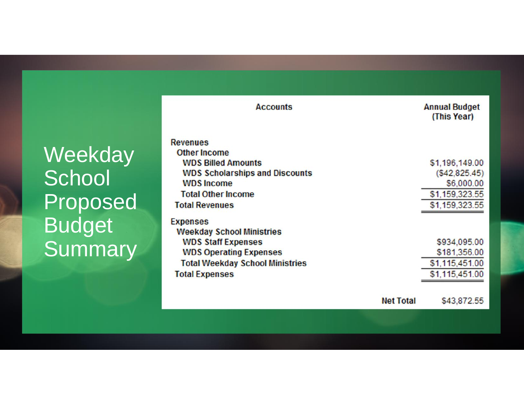### Weekday **School** Proposed Budget **Summary**

| <b>Accounts</b>                        | <b>Annual Budget</b><br>(This Year) |
|----------------------------------------|-------------------------------------|
| <b>Revenues</b>                        |                                     |
| <b>Other Income</b>                    |                                     |
| <b>WDS Billed Amounts</b>              | \$1,196,149.00                      |
| <b>WDS Scholarships and Discounts</b>  | (\$42,825.45)                       |
| <b>WDS</b> Income                      | \$6,000.00                          |
| <b>Total Other Income</b>              | \$1,159,323.55                      |
| <b>Total Revenues</b>                  | \$1,159,323.55                      |
| <b>Expenses</b>                        |                                     |
| <b>Weekday School Ministries</b>       |                                     |
| <b>WDS Staff Expenses</b>              | \$934,095.00                        |
| <b>WDS Operating Expenses</b>          | \$181,356.00                        |
| <b>Total Weekday School Ministries</b> | \$1,115,451.00                      |
| <b>Total Expenses</b>                  | \$1,115,451.00                      |
| <b>Net Total</b>                       | \$43,872.55                         |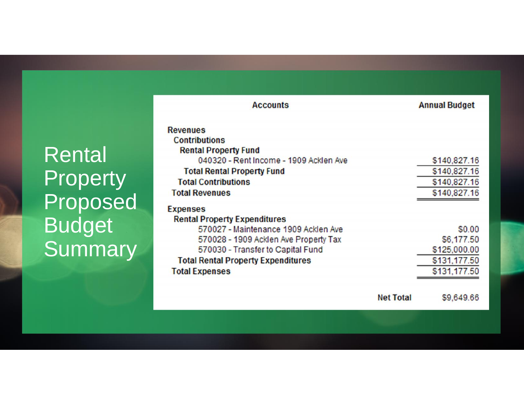**Rental Property** Proposed Budget **Summary** 

| <b>Accounts</b>                           | <b>Annual Budget</b> |
|-------------------------------------------|----------------------|
| <b>Revenues</b>                           |                      |
| <b>Contributions</b>                      |                      |
| <b>Rental Property Fund</b>               |                      |
| 040320 - Rent Income - 1909 Acklen Ave    | \$140,827.16         |
| <b>Total Rental Property Fund</b>         | \$140,827.16         |
| <b>Total Contributions</b>                | \$140,827.16         |
| <b>Total Revenues</b>                     | \$140,827.16         |
| <b>Expenses</b>                           |                      |
| <b>Rental Property Expenditures</b>       |                      |
| 570027 - Maintenance 1909 Acklen Ave      | \$0.00               |
| 570028 - 1909 Acklen Ave Property Tax     | \$6,177.50           |
| 570030 - Transfer to Capital Fund         | \$125,000.00         |
| <b>Total Rental Property Expenditures</b> | \$131,177.50         |
| <b>Total Expenses</b>                     | \$131,177.50         |
| <b>Net Total</b>                          | \$9,649.66           |